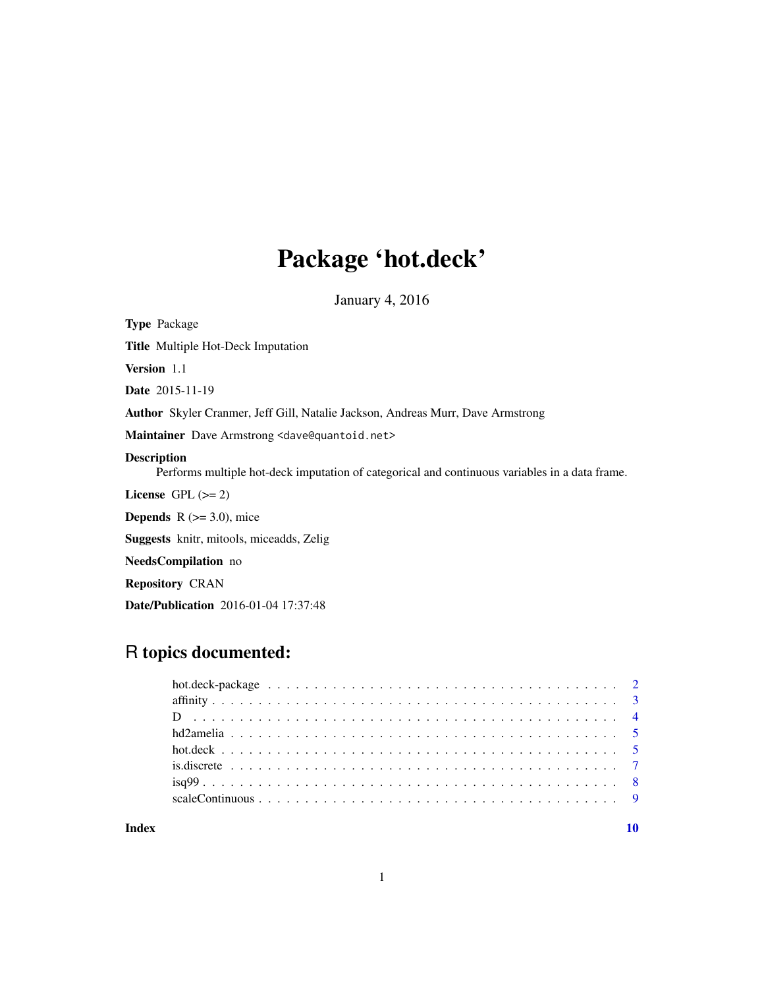## Package 'hot.deck'

January 4, 2016

<span id="page-0-0"></span>Type Package Title Multiple Hot-Deck Imputation Version 1.1 Date 2015-11-19 Author Skyler Cranmer, Jeff Gill, Natalie Jackson, Andreas Murr, Dave Armstrong Maintainer Dave Armstrong <dave@quantoid.net> Description Performs multiple hot-deck imputation of categorical and continuous variables in a data frame. License GPL  $(>= 2)$ **Depends**  $R$  ( $>= 3.0$ ), mice Suggests knitr, mitools, miceadds, Zelig NeedsCompilation no Repository CRAN

Date/Publication 2016-01-04 17:37:48

## R topics documented:

#### $\blacksquare$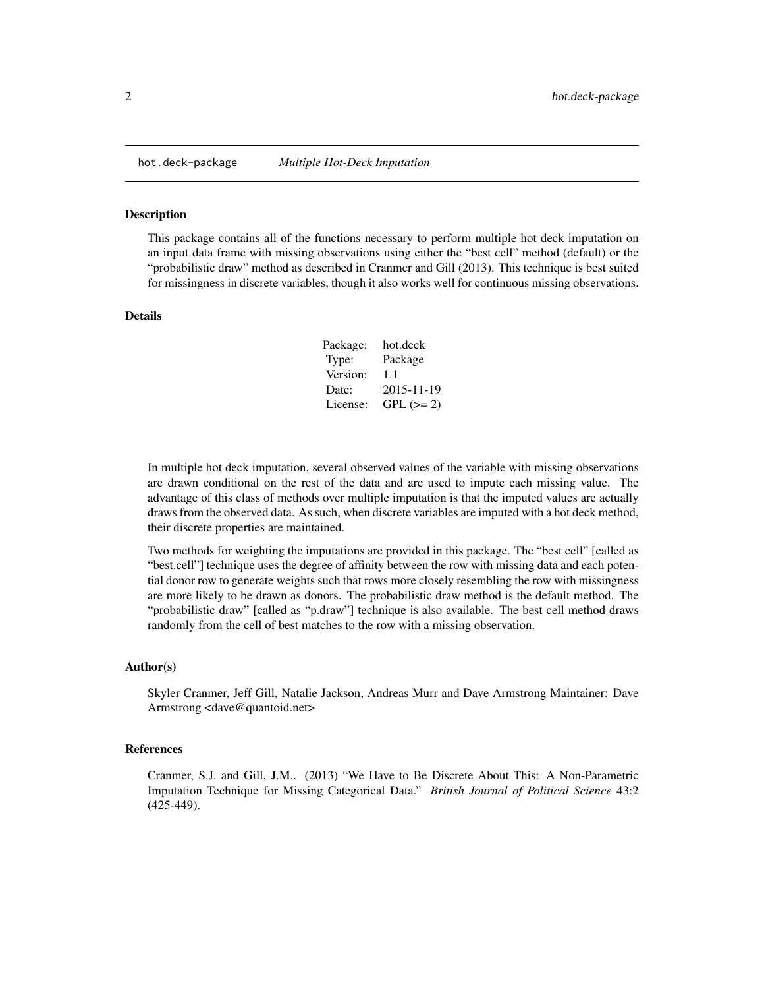<span id="page-1-0"></span>

This package contains all of the functions necessary to perform multiple hot deck imputation on an input data frame with missing observations using either the "best cell" method (default) or the "probabilistic draw" method as described in Cranmer and Gill (2013). This technique is best suited for missingness in discrete variables, though it also works well for continuous missing observations.

#### Details

| Package: | hot.deck    |
|----------|-------------|
| Type:    | Package     |
| Version: | 1.1         |
| Date:    | 2015-11-19  |
| License: | $GPL (= 2)$ |

In multiple hot deck imputation, several observed values of the variable with missing observations are drawn conditional on the rest of the data and are used to impute each missing value. The advantage of this class of methods over multiple imputation is that the imputed values are actually draws from the observed data. As such, when discrete variables are imputed with a hot deck method, their discrete properties are maintained.

Two methods for weighting the imputations are provided in this package. The "best cell" [called as "best.cell"] technique uses the degree of affinity between the row with missing data and each potential donor row to generate weights such that rows more closely resembling the row with missingness are more likely to be drawn as donors. The probabilistic draw method is the default method. The "probabilistic draw" [called as "p.draw"] technique is also available. The best cell method draws randomly from the cell of best matches to the row with a missing observation.

#### Author(s)

Skyler Cranmer, Jeff Gill, Natalie Jackson, Andreas Murr and Dave Armstrong Maintainer: Dave Armstrong <dave@quantoid.net>

## References

Cranmer, S.J. and Gill, J.M.. (2013) "We Have to Be Discrete About This: A Non-Parametric Imputation Technique for Missing Categorical Data." *British Journal of Political Science* 43:2 (425-449).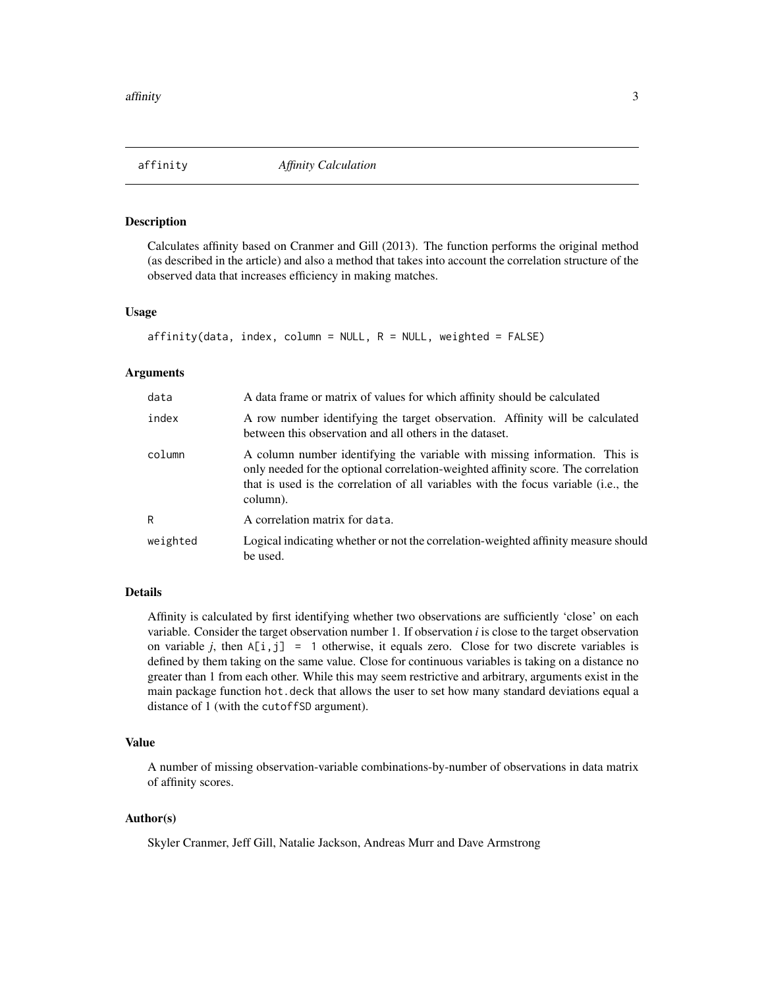<span id="page-2-1"></span><span id="page-2-0"></span>

Calculates affinity based on Cranmer and Gill (2013). The function performs the original method (as described in the article) and also a method that takes into account the correlation structure of the observed data that increases efficiency in making matches.

#### Usage

```
affinity(data, index, column = NULL, R = NULL, weighted = FALSE)
```
#### Arguments

| data     | A data frame or matrix of values for which affinity should be calculated                                                                                                                                                                                           |
|----------|--------------------------------------------------------------------------------------------------------------------------------------------------------------------------------------------------------------------------------------------------------------------|
| index    | A row number identifying the target observation. Affinity will be calculated<br>between this observation and all others in the dataset.                                                                                                                            |
| column   | A column number identifying the variable with missing information. This is<br>only needed for the optional correlation-weighted affinity score. The correlation<br>that is used is the correlation of all variables with the focus variable (i.e., the<br>column). |
| R        | A correlation matrix for data.                                                                                                                                                                                                                                     |
| weighted | Logical indicating whether or not the correlation-weighted affinity measure should<br>be used.                                                                                                                                                                     |

## Details

Affinity is calculated by first identifying whether two observations are sufficiently 'close' on each variable. Consider the target observation number 1. If observation *i* is close to the target observation on variable *j*, then  $A[i, j] = 1$  otherwise, it equals zero. Close for two discrete variables is defined by them taking on the same value. Close for continuous variables is taking on a distance no greater than 1 from each other. While this may seem restrictive and arbitrary, arguments exist in the main package function hot.deck that allows the user to set how many standard deviations equal a distance of 1 (with the cutoffSD argument).

## Value

A number of missing observation-variable combinations-by-number of observations in data matrix of affinity scores.

## Author(s)

Skyler Cranmer, Jeff Gill, Natalie Jackson, Andreas Murr and Dave Armstrong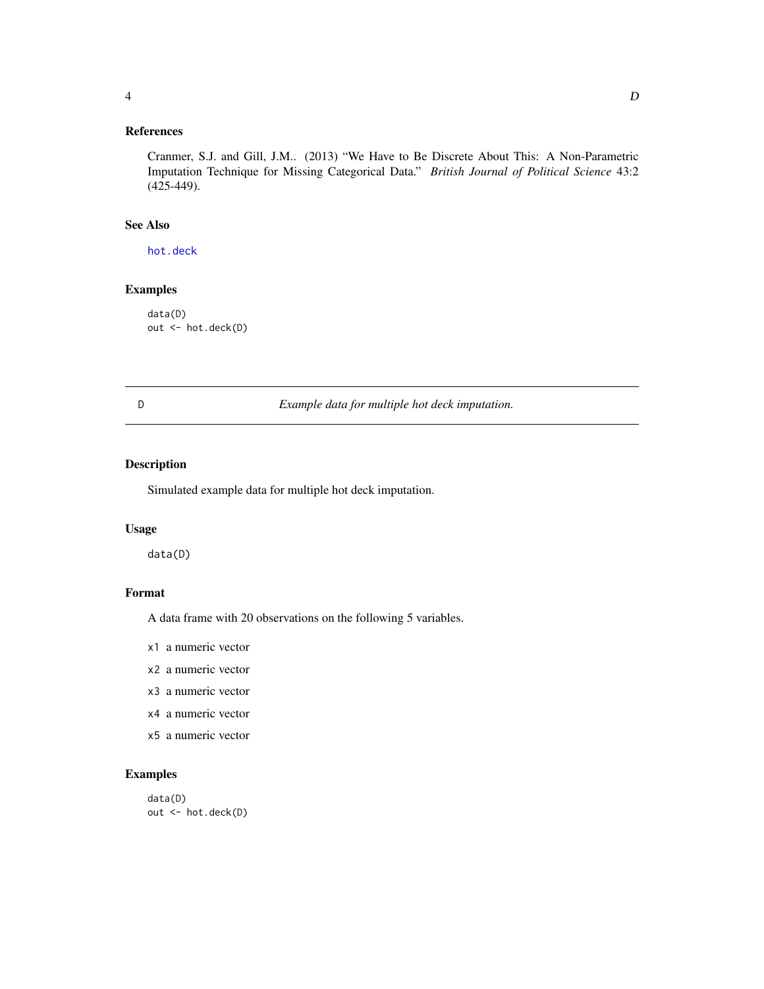## <span id="page-3-0"></span>References

Cranmer, S.J. and Gill, J.M.. (2013) "We Have to Be Discrete About This: A Non-Parametric Imputation Technique for Missing Categorical Data." *British Journal of Political Science* 43:2 (425-449).

#### See Also

[hot.deck](#page-4-1)

## Examples

data(D) out <- hot.deck(D)

D *Example data for multiple hot deck imputation.*

#### Description

Simulated example data for multiple hot deck imputation.

## Usage

data(D)

#### Format

A data frame with 20 observations on the following 5 variables.

x1 a numeric vector

x2 a numeric vector

- x3 a numeric vector
- x4 a numeric vector
- x5 a numeric vector

## Examples

data(D) out <- hot.deck(D)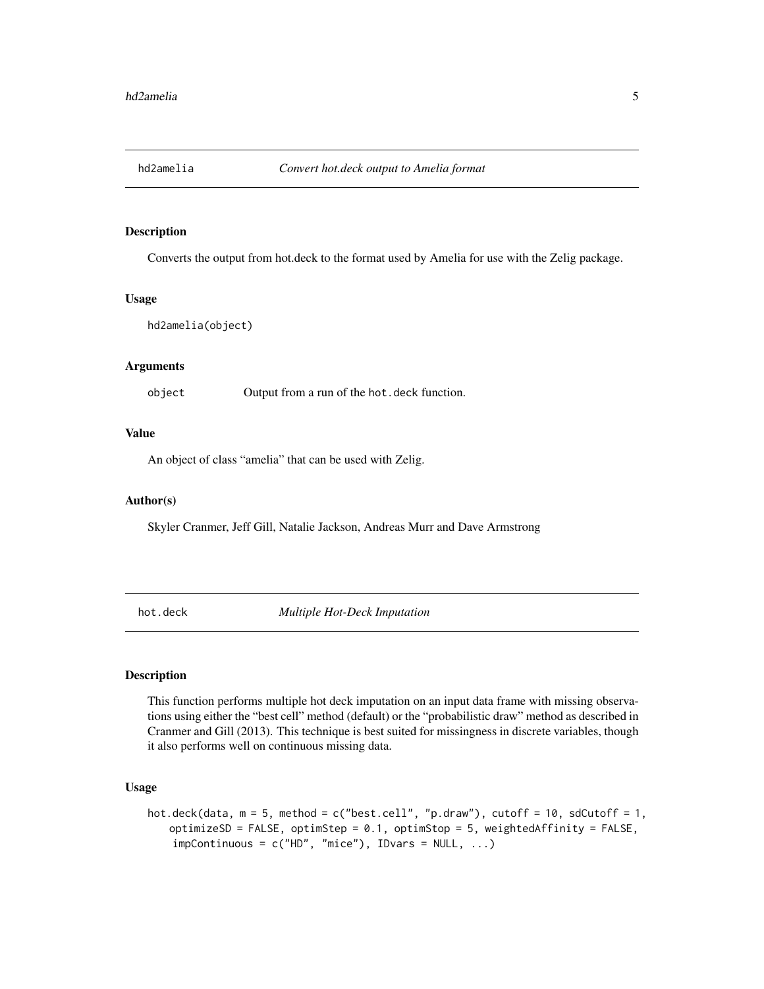<span id="page-4-0"></span>

Converts the output from hot.deck to the format used by Amelia for use with the Zelig package.

#### Usage

```
hd2amelia(object)
```
#### Arguments

object Output from a run of the hot.deck function.

#### Value

An object of class "amelia" that can be used with Zelig.

#### Author(s)

Skyler Cranmer, Jeff Gill, Natalie Jackson, Andreas Murr and Dave Armstrong

<span id="page-4-1"></span>hot.deck *Multiple Hot-Deck Imputation*

#### Description

This function performs multiple hot deck imputation on an input data frame with missing observations using either the "best cell" method (default) or the "probabilistic draw" method as described in Cranmer and Gill (2013). This technique is best suited for missingness in discrete variables, though it also performs well on continuous missing data.

#### Usage

```
hot.deck(data, m = 5, method = c("best.cell", "p.draw"), cutoff = 10, sdCutoff = 1,
optimizeSD = FALSE, optimStep = 0.1, optimStop = 5, weightedAffinity = FALSE,
 impContinuous = c("HD", "mice"), IDvars = NULL, ...)
```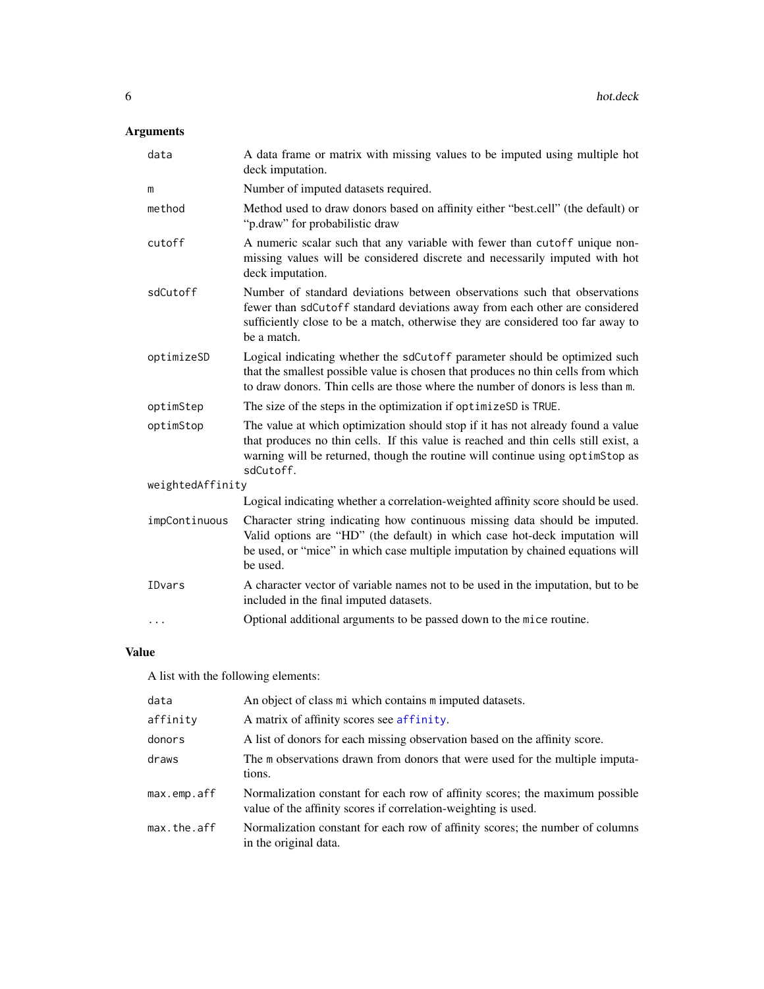## <span id="page-5-0"></span>Arguments

| data             | A data frame or matrix with missing values to be imputed using multiple hot<br>deck imputation.                                                                                                                                                                      |
|------------------|----------------------------------------------------------------------------------------------------------------------------------------------------------------------------------------------------------------------------------------------------------------------|
| m                | Number of imputed datasets required.                                                                                                                                                                                                                                 |
| method           | Method used to draw donors based on affinity either "best.cell" (the default) or<br>"p.draw" for probabilistic draw                                                                                                                                                  |
| cutoff           | A numeric scalar such that any variable with fewer than cutoff unique non-<br>missing values will be considered discrete and necessarily imputed with hot<br>deck imputation.                                                                                        |
| sdCutoff         | Number of standard deviations between observations such that observations<br>fewer than sdCutoff standard deviations away from each other are considered<br>sufficiently close to be a match, otherwise they are considered too far away to<br>be a match.           |
| optimizeSD       | Logical indicating whether the sdCutoff parameter should be optimized such<br>that the smallest possible value is chosen that produces no thin cells from which<br>to draw donors. Thin cells are those where the number of donors is less than m.                   |
| optimStep        | The size of the steps in the optimization if optimizeSD is TRUE.                                                                                                                                                                                                     |
| optimStop        | The value at which optimization should stop if it has not already found a value<br>that produces no thin cells. If this value is reached and thin cells still exist, a<br>warning will be returned, though the routine will continue using optimStop as<br>sdCutoff. |
| weightedAffinity |                                                                                                                                                                                                                                                                      |
|                  | Logical indicating whether a correlation-weighted affinity score should be used.                                                                                                                                                                                     |
| impContinuous    | Character string indicating how continuous missing data should be imputed.<br>Valid options are "HD" (the default) in which case hot-deck imputation will<br>be used, or "mice" in which case multiple imputation by chained equations will<br>be used.              |
| IDvars           | A character vector of variable names not to be used in the imputation, but to be<br>included in the final imputed datasets.                                                                                                                                          |
| $\cdots$         | Optional additional arguments to be passed down to the mice routine.                                                                                                                                                                                                 |

## Value

A list with the following elements:

| data        | An object of class mi which contains m imputed datasets.                                                                                       |
|-------------|------------------------------------------------------------------------------------------------------------------------------------------------|
| affinity    | A matrix of affinity scores see affinity.                                                                                                      |
| donors      | A list of donors for each missing observation based on the affinity score.                                                                     |
| draws       | The m observations drawn from donors that were used for the multiple imputa-<br>tions.                                                         |
| max.emp.aff | Normalization constant for each row of affinity scores; the maximum possible<br>value of the affinity scores if correlation-weighting is used. |
| max.the.aff | Normalization constant for each row of affinity scores; the number of columns<br>in the original data.                                         |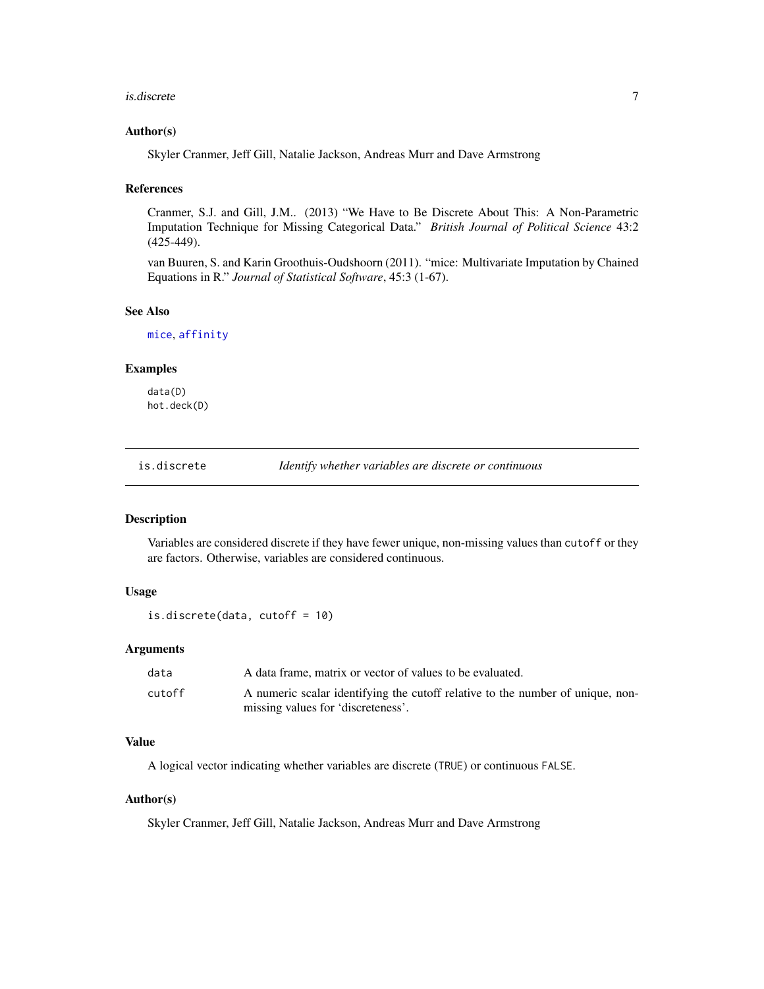#### <span id="page-6-0"></span>is.discrete 7

#### Author(s)

Skyler Cranmer, Jeff Gill, Natalie Jackson, Andreas Murr and Dave Armstrong

## References

Cranmer, S.J. and Gill, J.M.. (2013) "We Have to Be Discrete About This: A Non-Parametric Imputation Technique for Missing Categorical Data." *British Journal of Political Science* 43:2 (425-449).

van Buuren, S. and Karin Groothuis-Oudshoorn (2011). "mice: Multivariate Imputation by Chained Equations in R." *Journal of Statistical Software*, 45:3 (1-67).

#### See Also

[mice](#page-0-0), [affinity](#page-2-1)

#### Examples

data(D) hot.deck(D)

is.discrete *Identify whether variables are discrete or continuous*

#### Description

Variables are considered discrete if they have fewer unique, non-missing values than cutoff or they are factors. Otherwise, variables are considered continuous.

## Usage

is.discrete(data, cutoff = 10)

#### Arguments

| data   | A data frame, matrix or vector of values to be evaluated.                      |
|--------|--------------------------------------------------------------------------------|
| cutoff | A numeric scalar identifying the cutoff relative to the number of unique, non- |
|        | missing values for 'discreteness'.                                             |

#### Value

A logical vector indicating whether variables are discrete (TRUE) or continuous FALSE.

## Author(s)

Skyler Cranmer, Jeff Gill, Natalie Jackson, Andreas Murr and Dave Armstrong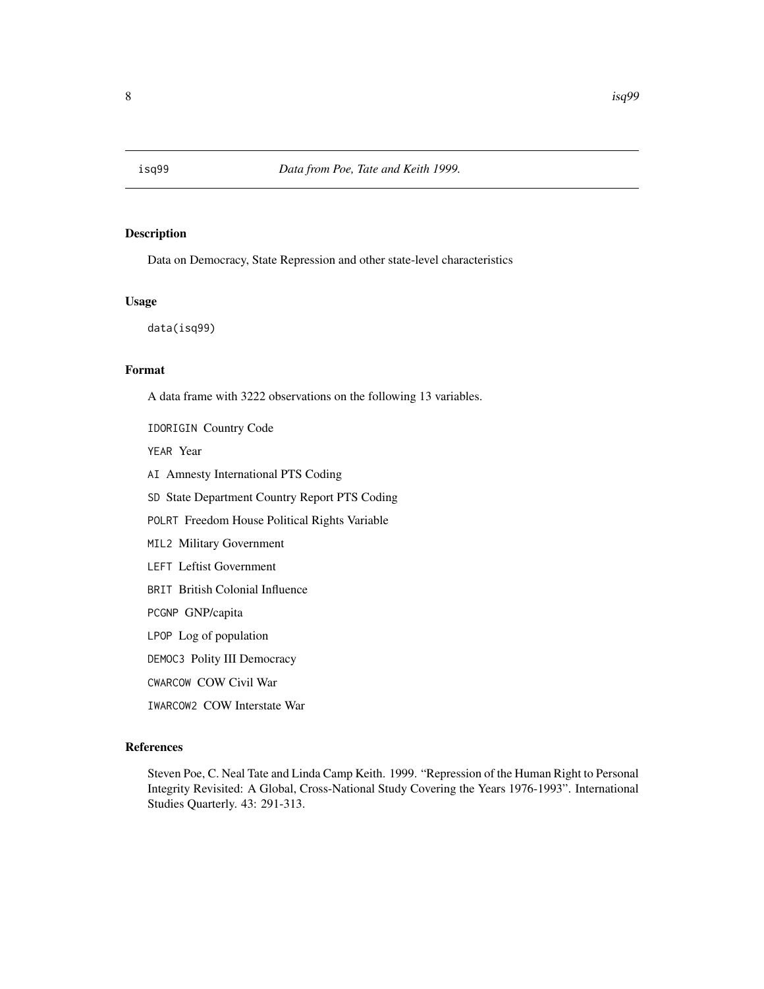<span id="page-7-0"></span>

Data on Democracy, State Repression and other state-level characteristics

## Usage

data(isq99)

#### Format

A data frame with 3222 observations on the following 13 variables.

IDORIGIN Country Code

YEAR Year

- AI Amnesty International PTS Coding
- SD State Department Country Report PTS Coding
- POLRT Freedom House Political Rights Variable
- MIL2 Military Government
- LEFT Leftist Government
- BRIT British Colonial Influence

PCGNP GNP/capita

LPOP Log of population

DEMOC3 Polity III Democracy

CWARCOW COW Civil War

IWARCOW2 COW Interstate War

## References

Steven Poe, C. Neal Tate and Linda Camp Keith. 1999. "Repression of the Human Right to Personal Integrity Revisited: A Global, Cross-National Study Covering the Years 1976-1993". International Studies Quarterly. 43: 291-313.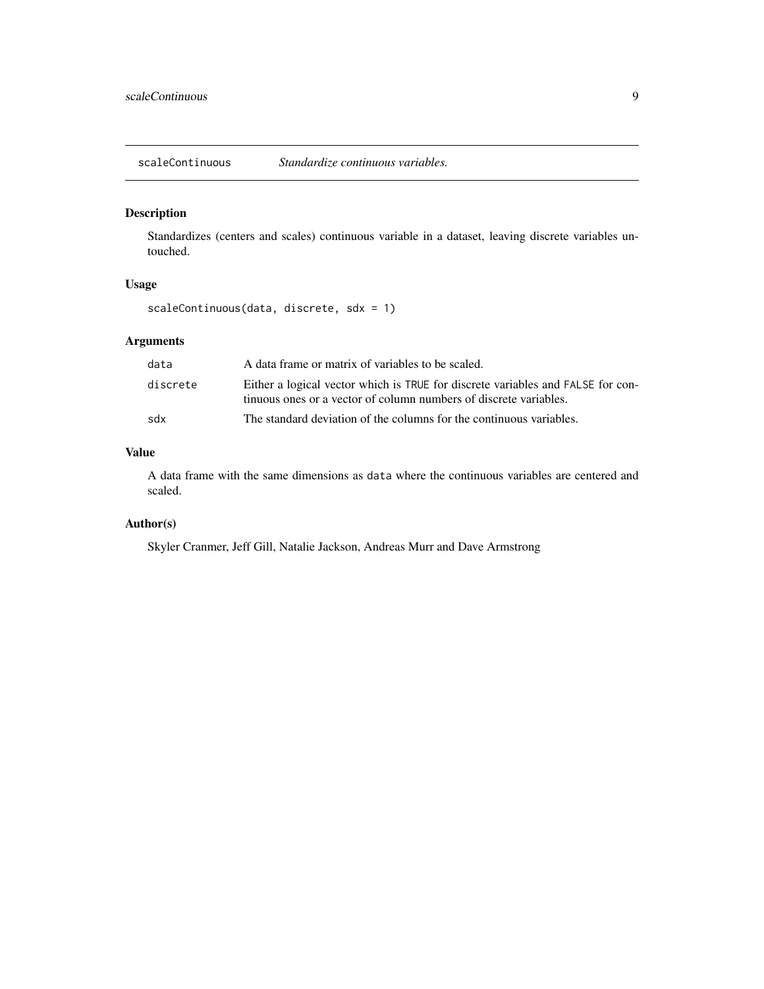<span id="page-8-0"></span>scaleContinuous *Standardize continuous variables.*

## Description

Standardizes (centers and scales) continuous variable in a dataset, leaving discrete variables untouched.

## Usage

scaleContinuous(data, discrete, sdx = 1)

## Arguments

| data     | A data frame or matrix of variables to be scaled.                                                                                                    |
|----------|------------------------------------------------------------------------------------------------------------------------------------------------------|
| discrete | Either a logical vector which is TRUE for discrete variables and FALSE for con-<br>tinuous ones or a vector of column numbers of discrete variables. |
| sdx      | The standard deviation of the columns for the continuous variables.                                                                                  |

## Value

A data frame with the same dimensions as data where the continuous variables are centered and scaled.

## Author(s)

Skyler Cranmer, Jeff Gill, Natalie Jackson, Andreas Murr and Dave Armstrong